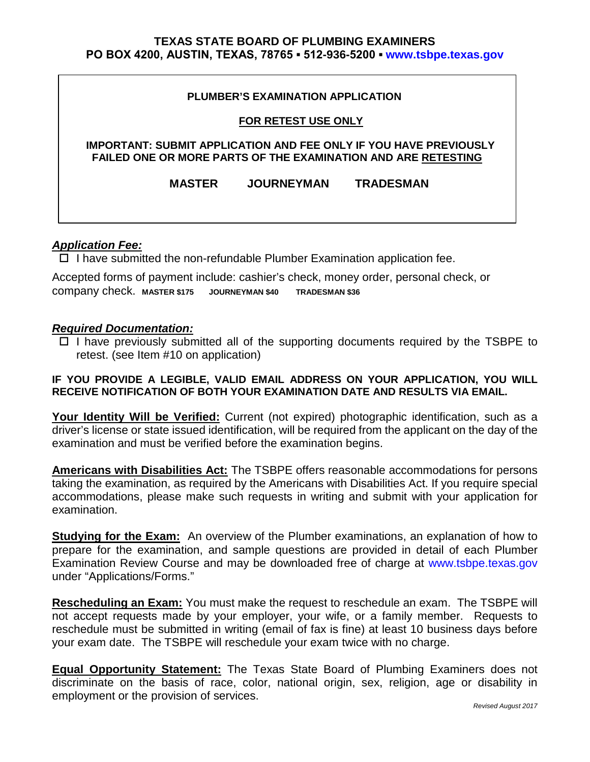## **TEXAS STATE BOARD OF PLUMBING EXAMINERS PO BOX 4200, AUSTIN, TEXAS, 78765 ▪ 512-936-5200 ▪ [www.tsbpe.texas.gov](http://www.tsbpe.texas.gov/)**

### **PLUMBER'S EXAMINATION APPLICATION**

### **FOR RETEST USE ONLY**

### **IMPORTANT: SUBMIT APPLICATION AND FEE ONLY IF YOU HAVE PREVIOUSLY FAILED ONE OR MORE PARTS OF THE EXAMINATION AND ARE RETESTING**

**MASTER JOURNEYMAN TRADESMAN** 

# *Application Fee:*

 $\Box$  I have submitted the non-refundable Plumber Examination application fee.

Accepted forms of payment include: cashier's check, money order, personal check, or company check. **MASTER \$175 JOURNEYMAN \$40 TRADESMAN \$36** 

## *Required Documentation:*

 $\Box$  I have previously submitted all of the supporting documents required by the TSBPE to retest. (see Item #10 on application)

# **IF YOU PROVIDE A LEGIBLE, VALID EMAIL ADDRESS ON YOUR APPLICATION, YOU WILL RECEIVE NOTIFICATION OF BOTH YOUR EXAMINATION DATE AND RESULTS VIA EMAIL.**

**Your Identity Will be Verified:** Current (not expired) photographic identification, such as a driver's license or state issued identification, will be required from the applicant on the day of the examination and must be verified before the examination begins.

**Americans with Disabilities Act:** The TSBPE offers reasonable accommodations for persons taking the examination, as required by the Americans with Disabilities Act. If you require special accommodations, please make such requests in writing and submit with your application for examination.

**Studying for the Exam:** An overview of the Plumber examinations, an explanation of how to prepare for the examination, and sample questions are provided in detail of each Plumber Examination Review Course and may be downloaded free of charge at [www.tsbpe.texas.gov](http://www.tsbpe.texas.gov/) under "Applications/Forms."

**Rescheduling an Exam:** You must make the request to reschedule an exam. The TSBPE will not accept requests made by your employer, your wife, or a family member. Requests to reschedule must be submitted in writing (email of fax is fine) at least 10 business days before your exam date. The TSBPE will reschedule your exam twice with no charge.

**Equal Opportunity Statement:** The Texas State Board of Plumbing Examiners does not discriminate on the basis of race, color, national origin, sex, religion, age or disability in employment or the provision of services.